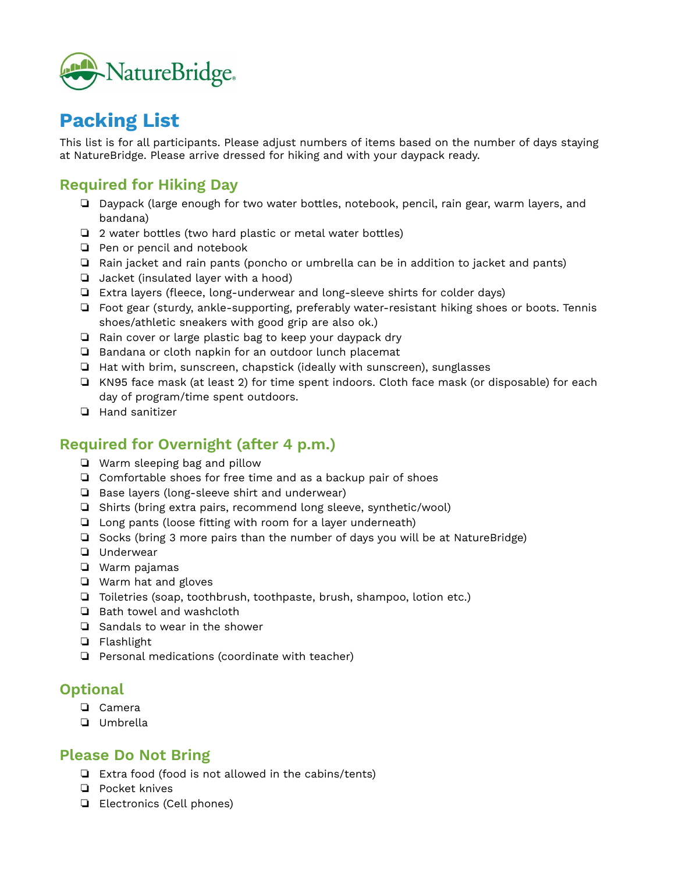

# **Packing List**

This list is for all participants. Please adjust numbers of items based on the number of days staying at NatureBridge. Please arrive dressed for hiking and with your daypack ready.

## **Required for Hiking Day**

- ❏ Daypack (large enough for two water bottles, notebook, pencil, rain gear, warm layers, and bandana)
- ❏ 2 water bottles (two hard plastic or metal water bottles)
- ❏ Pen or pencil and notebook
- ❏ Rain jacket and rain pants (poncho or umbrella can be in addition to jacket and pants)
- ❏ Jacket (insulated layer with a hood)
- ❏ Extra layers (fleece, long-underwear and long-sleeve shirts for colder days)
- ❏ Foot gear (sturdy, ankle-supporting, preferably water-resistant hiking shoes or boots. Tennis shoes/athletic sneakers with good grip are also ok.)
- ❏ Rain cover or large plastic bag to keep your daypack dry
- ❏ Bandana or cloth napkin for an outdoor lunch placemat
- ❏ Hat with brim, sunscreen, chapstick (ideally with sunscreen), sunglasses
- ❏ KN95 face mask (at least 2) for time spent indoors. Cloth face mask (or disposable) for each day of program/time spent outdoors.
- ❏ Hand sanitizer

### **Required for Overnight (after 4 p.m.)**

- ❏ Warm sleeping bag and pillow
- ❏ Comfortable shoes for free time and as a backup pair of shoes
- ❏ Base layers (long-sleeve shirt and underwear)
- ❏ Shirts (bring extra pairs, recommend long sleeve, synthetic/wool)
- ❏ Long pants (loose fitting with room for a layer underneath)
- ❏ Socks (bring 3 more pairs than the number of days you will be at NatureBridge)
- ❏ Underwear
- ❏ Warm pajamas
- ❏ Warm hat and gloves
- ❏ Toiletries (soap, toothbrush, toothpaste, brush, shampoo, lotion etc.)
- ❏ Bath towel and washcloth
- ❏ Sandals to wear in the shower
- ❏ Flashlight
- ❏ Personal medications (coordinate with teacher)

#### **Optional**

- ❏ Camera
- ❏ Umbrella

#### **Please Do Not Bring**

- ❏ Extra food (food is not allowed in the cabins/tents)
- ❏ Pocket knives
- ❏ Electronics (Cell phones)